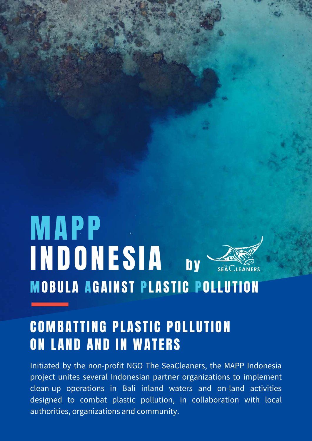# **MAPP INDONESIA** bySEA CLEANERS **MOBULA AGAINST PLASTIC POLLUTION**

# **COMBATTING PLASTIC POLLUTION ON LAND AND IN WATERS**

Initiated by the non-profit NGO The SeaCleaners, the MAPP Indonesia project unites several Indonesian partner organizations to implement clean-up operations in Bali inland waters and on-land activities designed to combat plastic pollution, in collaboration with local authorities, organizations and community.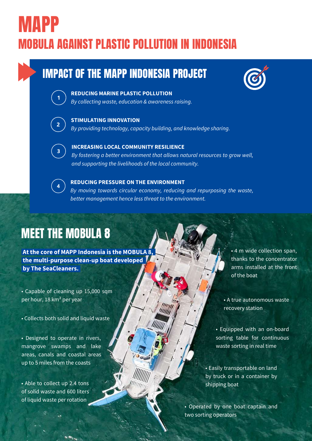# MOBULA AGAINST PLASTIC POLLUTION IN INDONESIA MAPP

## IMPACT OF THE MAPP INDONESIA PROJECT



#### **REDUCING MARINE PLASTIC POLLUTION**

*By collecting waste, education & awareness raising.*



#### **STIMULATING INNOVATION** *By providing technology, capacity building, and knowledge sharing.*



**INCREASING LOCAL COMMUNITY RESILIENCE** *By fostering a better environment that allows natural resources to grow well, and supporting the livelihoods of the local community.*



### **REDUCING PRESSURE ON THE ENVIRONMENT**

*By moving towards circular economy, reducing and repurposing the waste, better management hence less threat to the environment.*

# MEET THE MOBULA 8

**At the core of MAPP Indonesia is the MOBULA 8, the multi-purpose clean-up boat developed by The SeaCleaners.**

• Capable of cleaning up 15,000 sqm per hour, 18 km² per year

• Collects both solid and liquid waste

• Designed to operate in rivers, mangrove swamps and lake areas, canals and coastal areas up to 5 miles from the coasts

• Able to collect up 2.4 tons of solid waste and 600 liters of liquid waste per rotation

• 4 m wide collection span, thanks to the concentrator arms installed at the front of the boat

• A true autonomous waste recovery station

• Equipped with an on-board sorting table for continuous waste sorting in real time

• Easily transportable on land by truck or in a container by shipping boat

• Operated by one boat captain and two sorting operators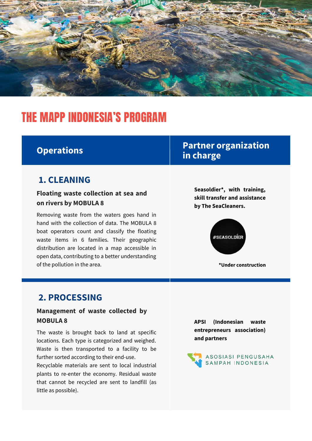

# THE MAPP INDONESIA'S PROGRAM

## **Operations**

### **1. CLEANING**

**Floating waste collection at sea and on rivers by MOBULA 8**

Removing waste from the waters goes hand in hand with the collection of data. The MOBULA 8 boat operators count and classify the floating waste items in 6 families. Their geographic distribution are located in a map accessible in open data, contributing to a better understanding of the pollution in the area.

## **Partner organization in charge**

**Seasoldier\*, with training, skill transfer and assistance by The SeaCleaners.**



### **2. PROCESSING**

### **Management of waste collected by MOBULA 8**

The waste is brought back to land at specific locations. Each type is categorized and weighed. Waste is then transported to a facility to be further sorted according to their end-use. Recyclable materials are sent to local industrial plants to re-enter the economy. Residual waste that cannot be recycled are sent to landfill (as little as possible).

**APSI (Indonesian waste entrepreneurs association) and partners**

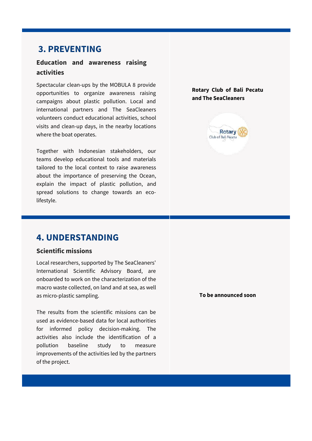### **3. PREVENTING**

### **Education and awareness raising activities**

Spectacular clean-ups by the MOBULA 8 provide opportunities to organize awareness raising campaigns about plastic pollution. Local and international partners and The SeaCleaners volunteers conduct educational activities, school visits and clean-up days, in the nearby locations where the boat operates.

Together with Indonesian stakeholders, our teams develop educational tools and materials tailored to the local context to raise awareness about the importance of preserving the Ocean, explain the impact of plastic pollution, and spread solutions to change towards an ecolifestyle.

**Rotary Club of Bali Pecatu and The SeaCleaners**



### **4. UNDERSTANDING**

#### **Scientific missions**

Local researchers, supported by The SeaCleaners' International Scientific Advisory Board, are onboarded to work on the characterization of the macro waste collected, on land and at sea, as well as micro-plastic sampling.

The results from the scientific missions can be used as evidence-based data for local authorities for informed policy decision-making. The activities also include the identification of a pollution baseline study to measure improvements of the activities led by the partners of the project.

**To be announced soon**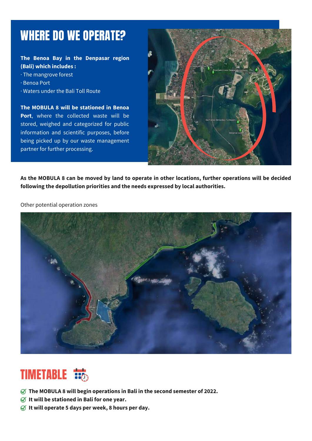# WHERE DO WE OPERATE?

### **The Benoa Bay in the Denpasar region (Bali) which includes :**

- · The mangrove forest
- · Benoa Port
- · Waters under the Bali Toll Route

**The MOBULA 8 will be stationed in Benoa Port**, where the collected waste will be stored, weighed and categorized for public information and scientific purposes, before being picked up by our waste management partner for further processing.



As the MOBULA 8 can be moved by land to operate in other locations, further operations will be decided **following the depollution priorities and the needs expressed by local authorities.**

Other potential operation zones



# **TIMETABLE**

- **The MOBULA 8 will begin operations in Bali in the second semester of 2022.**
- **It will be stationed in Bali for one year.**
- **It will operate 5 days per week, 8 hours per day.**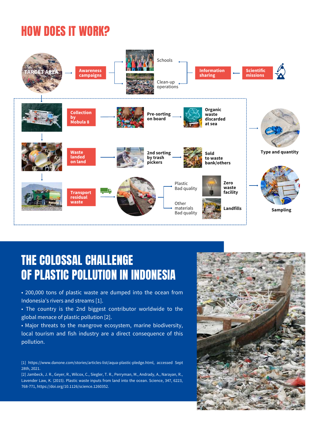# HOW DOES IT WORK?



# THE COLOSSAL CHALLENGE OF PLASTIC POLLUTION IN INDONESIA

• 200,000 tons of plastic waste are dumped into the ocean from Indonesia's rivers and streams [1].

• The country is the 2nd biggest contributor worldwide to the global menace of plastic pollution [2].

• Major threats to the mangrove ecosystem, marine biodiversity, local tourism and fish industry are a direct consequence of this pollution.

[1] <https://www.danone.com/stories/articles-list/aqua-plastic-pledge.html>, accessed Sept 28th, 2021.

[2] Jambeck, J. R., Geyer, R., Wilcox, C., Siegler, T. R., Perryman, M., Andrady, A., Narayan, R., Lavender Law, K. (2015). Plastic waste inputs from land into the ocean. Science, 347, 6223, 768-771, <https://doi.org/10.1126/science.1260352>.

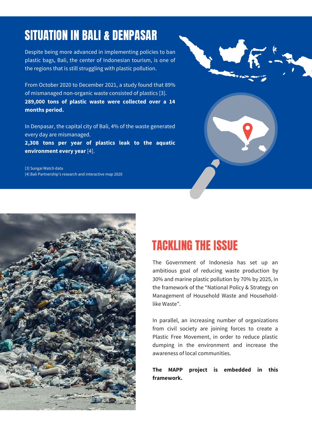# SITUATION IN BALI & DENPASAR

Despite being more advanced in implementing policies to ban plastic bags, Bali, the center of Indonesian tourism, is one of the regions that is still struggling with plastic pollution.

From October 2020 to December 2021, a study found that 89% of mismanaged non-organic waste consisted of plastics [3]. **289,000 tons of plastic waste were collected over a 14 months period.**

In Denpasar, the capital city of Bali, 4% of the waste generated every day are mismanaged. **2,308 tons per year of plastics leak to the aquatic**

**environment every year** [4].

[3] Sungai Watch data [4] Bali [Partnership's](https://www.balipartnership.org/en_gb/map/) research and interactive map 2020





# TACKLING THE ISSUE

The Government of Indonesia has set up an ambitious goal of reducing waste production by 30% and marine plastic pollution by 70% by 2025, in the framework of the "National Policy & Strategy on Management of Household Waste and Householdlike Waste".

In parallel, an increasing number of organizations from civil society are joining forces to create a Plastic Free Movement, in order to reduce plastic dumping in the environment and increase the awareness of local communities.

**The MAPP project is embedded in this framework.**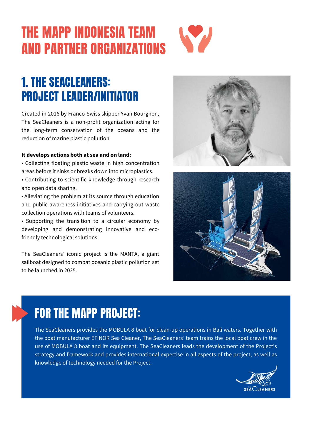# THE MAPP INDONESIA TEAM AND PARTNER ORGANIZATIONS



# 1. THE [SEACLEANERS:](https://www.theseacleaners.org/) PROJECT LEADER/INITIATOR

Created in 2016 by Franco-Swiss skipper Yvan Bourgnon, The SeaCleaners is a non-profit organization acting for the long-term conservation of the oceans and the reduction of marine plastic pollution.

#### **It develops actions both at sea and on land:**

- Collecting floating plastic waste in high concentration areas before it sinks or breaks down into microplastics.
- Contributing to scientific knowledge through research and open data sharing.
- Alleviating the problem at its source through education and public awareness initiatives and carrying out waste collection operations with teams of volunteers.
- Supporting the transition to a circular economy by developing and demonstrating innovative and ecofriendly technological solutions.

The SeaCleaners' iconic project is the MANTA, a giant sailboat designed to combat oceanic plastic pollution set to be launched in 2025.





# FOR THE MAPP PROJECT:

The SeaCleaners provides the MOBULA 8 boat for clean-up operations in Bali waters. Together with the boat manufacturer EFINOR Sea Cleaner, The SeaCleaners' team trains the local boat crew in the use of MOBULA 8 boat and its equipment. The SeaCleaners leads the development of the Project's strategy and framework and provides international expertise in all aspects of the project, as well as knowledge of technology needed for the Project.

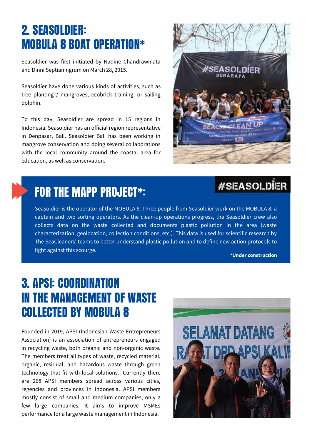# 2. [SEASOLDIER:](http://www.seasoldier.org/) MOBULA 8 BOAT OPERATION\*

Seasoldier was first initiated by Nadine Chandrawinata and Dinni Septianingrum on March 28, 2015.

Seasoldier have done various kinds of activities, such as tree planting / mangroves, ecobrick training, or sailing dolphin.

To this day, Seasoldier are spread in 15 regions in Indonesia. Seasoldier has an official region representative in Denpasar, Bali. Seasoldier Bali has been working in mangrove conservation and doing several collaborations with the local community around the coastal area for education, as well as conservation.



## **#SEASOLDIER**

# FOR THE MAPP PROJECT\*:

Seasoldier is the operator of the MOBULA 8. Three people from Seasoldier work on the MOBULA 8: a captain and two sorting operators. As the clean-up operations progress, the Seasoldier crew also collects data on the waste collected and documents plastic pollution in the area (waste characterization, geolocation, collection conditions, etc.). This data is used for scientific research by The SeaCleaners' teams to better understand plastic pollution and to define new action protocols to fight against this scourge.

**\*Under construction**

# 3. [APSI:](https://dppapsi.id/) COORDINATION IN THE MANAGEMENT OF WASTE COLLECTED BY MOBULA 8

Founded in 2019, APSI (Indonesian Waste Entrepreneurs Association) is an association of entrepreneurs engaged in recycling waste, both organic and non-organic waste. The members treat all types of waste, recycled material, organic, residual, and hazardous waste through green technology that fit with local solutions. Currently there are 268 APSI members spread across various cities, regencies and provinces in Indonesia. APSI members mostly consist of small and medium companies, only a few large companies. It aims to improve MSMEs performance for a large waste management in Indonesia.

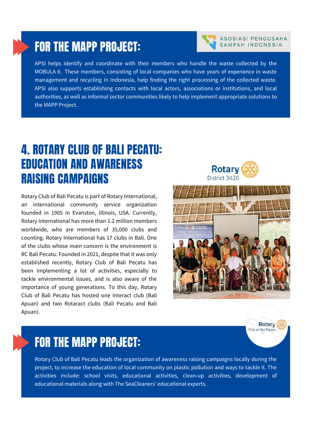## FOR THE MAPP PROJECT:

APSI helps identify and coordinate with their members who handle the waste collected by the MOBULA 8. These members, consisting of local companies who have years of experience in waste management and recycling in Indonesia, help finding the right processing of the collected waste. APSI also supports establishing contacts with local actors, associations or institutions, and local authorities, as well as informal sector communities likely to help implement appropriate solutions to the MAPP Project.

# 4. [ROTARY](https://rotary.or.id/) CLUB OF BALI PECATU: EDUCATION AND AWARENESS RAISING CAMPAIGNS

Rotary Club of Bali Pecatu is part of Rotary International, an international community service organization founded in 1905 in Evanston, Illinois, USA. Currently, Rotary International has more than 1.2 million members worldwide, who are members of 35,000 clubs and counting. Rotary International has 17 clubs in Bali. One of the clubs whose main concern is the environment is RC Bali Pecatu. Founded in 2021, despite that it was only established recently, Rotary Club of Bali Pecatu has been implementing a lot of activities, especially to tackle environmental issues, and is also aware of the importance of young generations. To this day, Rotary Club of Bali Pecatu has hosted one Interact club (Bali Apuan) and two Rotaract clubs (Bali Pecatu and Bali Apuan).

## Rotar District 3420





Rotary Club of Bali Pecatu leads the organization of awareness raising campaigns locally during the project, to increase the education of local community on plastic pollution and ways to tackle it. The activities include: school visits, educational activities, clean-up activities, development of educational materials along with The SeaCleaners' educational experts.